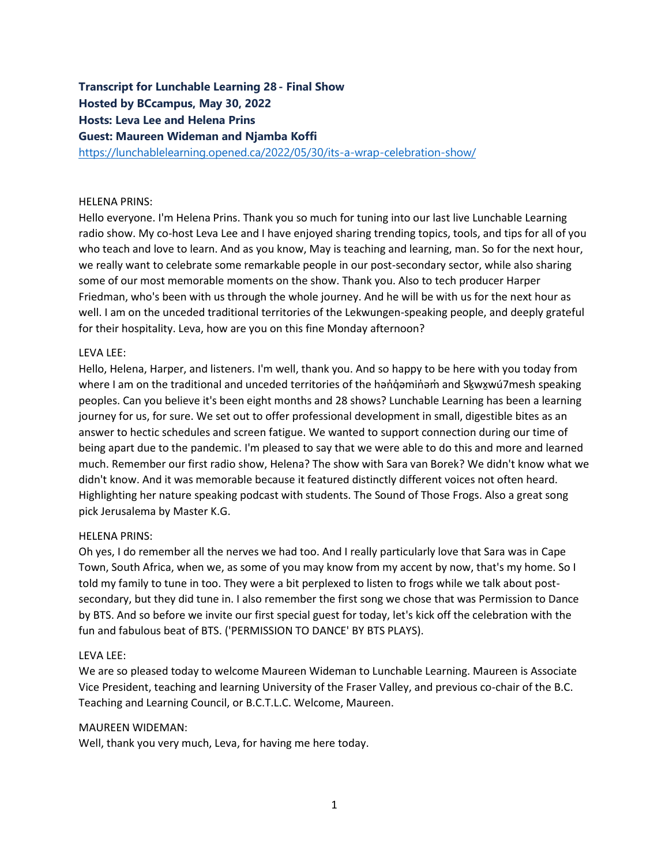# **Transcript for Lunchable Learning 28- Final Show Hosted by BCcampus, May 30, 2022 Hosts: Leva Lee and Helena Prins Guest: Maureen Wideman and Njamba Koffi**

<https://lunchablelearning.opened.ca/2022/05/30/its-a-wrap-celebration-show/>

#### HELENA PRINS:

Hello everyone. I'm Helena Prins. Thank you so much for tuning into our last live Lunchable Learning radio show. My co-host Leva Lee and I have enjoyed sharing trending topics, tools, and tips for all of you who teach and love to learn. And as you know, May is teaching and learning, man. So for the next hour, we really want to celebrate some remarkable people in our post-secondary sector, while also sharing some of our most memorable moments on the show. Thank you. Also to tech producer Harper Friedman, who's been with us through the whole journey. And he will be with us for the next hour as well. I am on the unceded traditional territories of the Lekwungen-speaking people, and deeply grateful for their hospitality. Leva, how are you on this fine Monday afternoon?

#### LEVA LEE:

Hello, Helena, Harper, and listeners. I'm well, thank you. And so happy to be here with you today from where I am on the traditional and unceded territories of the hanq initiam and Skwxwu 7mesh speaking peoples. Can you believe it's been eight months and 28 shows? Lunchable Learning has been a learning journey for us, for sure. We set out to offer professional development in small, digestible bites as an answer to hectic schedules and screen fatigue. We wanted to support connection during our time of being apart due to the pandemic. I'm pleased to say that we were able to do this and more and learned much. Remember our first radio show, Helena? The show with Sara van Borek? We didn't know what we didn't know. And it was memorable because it featured distinctly different voices not often heard. Highlighting her nature speaking podcast with students. The Sound of Those Frogs. Also a great song pick Jerusalema by Master K.G.

#### HELENA PRINS:

Oh yes, I do remember all the nerves we had too. And I really particularly love that Sara was in Cape Town, South Africa, when we, as some of you may know from my accent by now, that's my home. So I told my family to tune in too. They were a bit perplexed to listen to frogs while we talk about postsecondary, but they did tune in. I also remember the first song we chose that was Permission to Dance by BTS. And so before we invite our first special guest for today, let's kick off the celebration with the fun and fabulous beat of BTS. ('PERMISSION TO DANCE' BY BTS PLAYS).

#### LEVA LEE:

We are so pleased today to welcome Maureen Wideman to Lunchable Learning. Maureen is Associate Vice President, teaching and learning University of the Fraser Valley, and previous co-chair of the B.C. Teaching and Learning Council, or B.C.T.L.C. Welcome, Maureen.

#### MAUREEN WIDEMAN:

Well, thank you very much, Leva, for having me here today.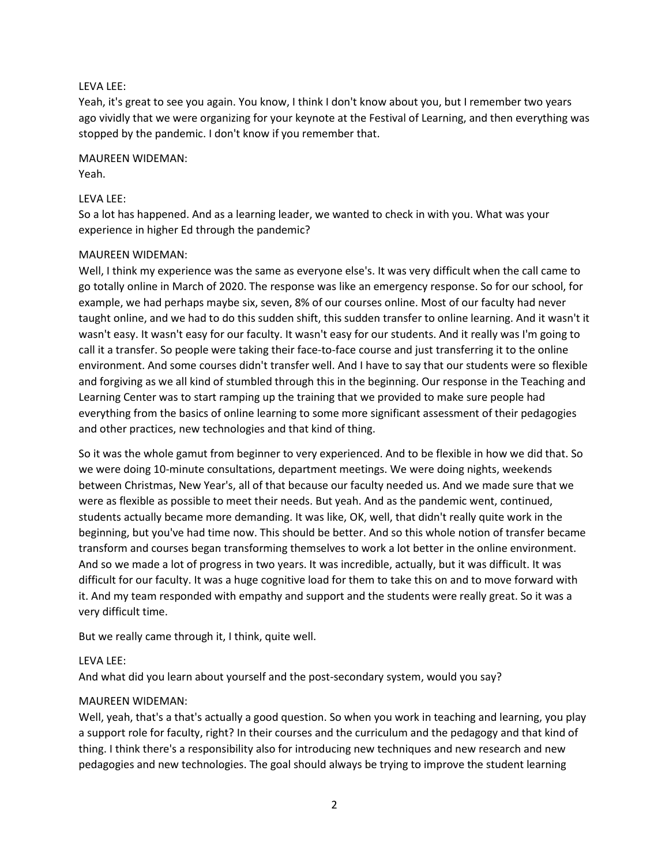#### LEVA LEE:

Yeah, it's great to see you again. You know, I think I don't know about you, but I remember two years ago vividly that we were organizing for your keynote at the Festival of Learning, and then everything was stopped by the pandemic. I don't know if you remember that.

# MAUREEN WIDEMAN:

Yeah.

# LEVA LEE:

So a lot has happened. And as a learning leader, we wanted to check in with you. What was your experience in higher Ed through the pandemic?

#### MAUREEN WIDEMAN:

Well, I think my experience was the same as everyone else's. It was very difficult when the call came to go totally online in March of 2020. The response was like an emergency response. So for our school, for example, we had perhaps maybe six, seven, 8% of our courses online. Most of our faculty had never taught online, and we had to do this sudden shift, this sudden transfer to online learning. And it wasn't it wasn't easy. It wasn't easy for our faculty. It wasn't easy for our students. And it really was I'm going to call it a transfer. So people were taking their face-to-face course and just transferring it to the online environment. And some courses didn't transfer well. And I have to say that our students were so flexible and forgiving as we all kind of stumbled through this in the beginning. Our response in the Teaching and Learning Center was to start ramping up the training that we provided to make sure people had everything from the basics of online learning to some more significant assessment of their pedagogies and other practices, new technologies and that kind of thing.

So it was the whole gamut from beginner to very experienced. And to be flexible in how we did that. So we were doing 10-minute consultations, department meetings. We were doing nights, weekends between Christmas, New Year's, all of that because our faculty needed us. And we made sure that we were as flexible as possible to meet their needs. But yeah. And as the pandemic went, continued, students actually became more demanding. It was like, OK, well, that didn't really quite work in the beginning, but you've had time now. This should be better. And so this whole notion of transfer became transform and courses began transforming themselves to work a lot better in the online environment. And so we made a lot of progress in two years. It was incredible, actually, but it was difficult. It was difficult for our faculty. It was a huge cognitive load for them to take this on and to move forward with it. And my team responded with empathy and support and the students were really great. So it was a very difficult time.

But we really came through it, I think, quite well.

#### LEVA LEE:

And what did you learn about yourself and the post-secondary system, would you say?

#### MAUREEN WIDEMAN:

Well, yeah, that's a that's actually a good question. So when you work in teaching and learning, you play a support role for faculty, right? In their courses and the curriculum and the pedagogy and that kind of thing. I think there's a responsibility also for introducing new techniques and new research and new pedagogies and new technologies. The goal should always be trying to improve the student learning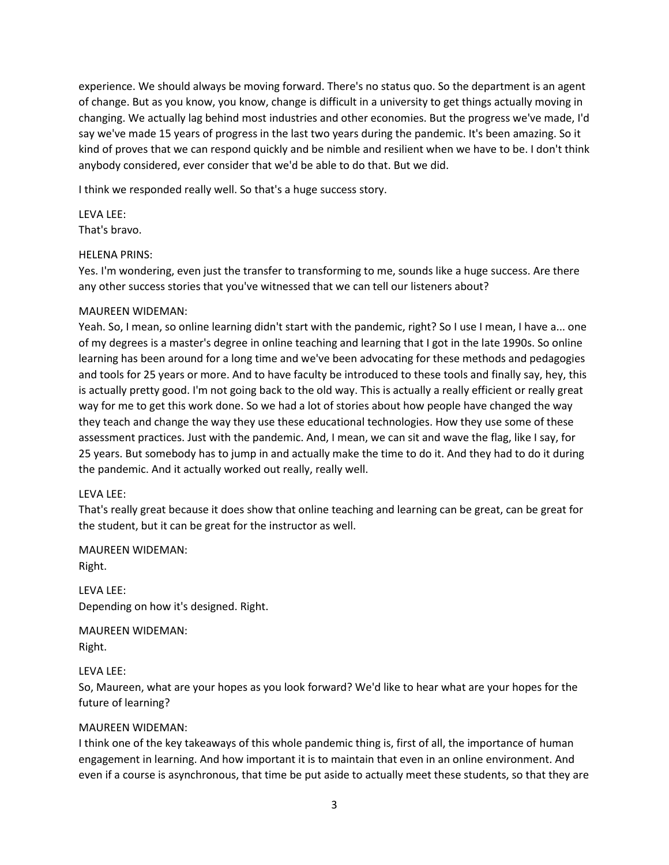experience. We should always be moving forward. There's no status quo. So the department is an agent of change. But as you know, you know, change is difficult in a university to get things actually moving in changing. We actually lag behind most industries and other economies. But the progress we've made, I'd say we've made 15 years of progress in the last two years during the pandemic. It's been amazing. So it kind of proves that we can respond quickly and be nimble and resilient when we have to be. I don't think anybody considered, ever consider that we'd be able to do that. But we did.

I think we responded really well. So that's a huge success story.

LEVA LEE: That's bravo.

## HELENA PRINS:

Yes. I'm wondering, even just the transfer to transforming to me, sounds like a huge success. Are there any other success stories that you've witnessed that we can tell our listeners about?

## MAUREEN WIDEMAN:

Yeah. So, I mean, so online learning didn't start with the pandemic, right? So I use I mean, I have a... one of my degrees is a master's degree in online teaching and learning that I got in the late 1990s. So online learning has been around for a long time and we've been advocating for these methods and pedagogies and tools for 25 years or more. And to have faculty be introduced to these tools and finally say, hey, this is actually pretty good. I'm not going back to the old way. This is actually a really efficient or really great way for me to get this work done. So we had a lot of stories about how people have changed the way they teach and change the way they use these educational technologies. How they use some of these assessment practices. Just with the pandemic. And, I mean, we can sit and wave the flag, like I say, for 25 years. But somebody has to jump in and actually make the time to do it. And they had to do it during the pandemic. And it actually worked out really, really well.

#### LEVA LEE:

That's really great because it does show that online teaching and learning can be great, can be great for the student, but it can be great for the instructor as well.

MAUREEN WIDEMAN:

Right.

LEVA LEE: Depending on how it's designed. Right.

MAUREEN WIDEMAN: Right.

#### LEVA LEE:

So, Maureen, what are your hopes as you look forward? We'd like to hear what are your hopes for the future of learning?

# MAUREEN WIDEMAN:

I think one of the key takeaways of this whole pandemic thing is, first of all, the importance of human engagement in learning. And how important it is to maintain that even in an online environment. And even if a course is asynchronous, that time be put aside to actually meet these students, so that they are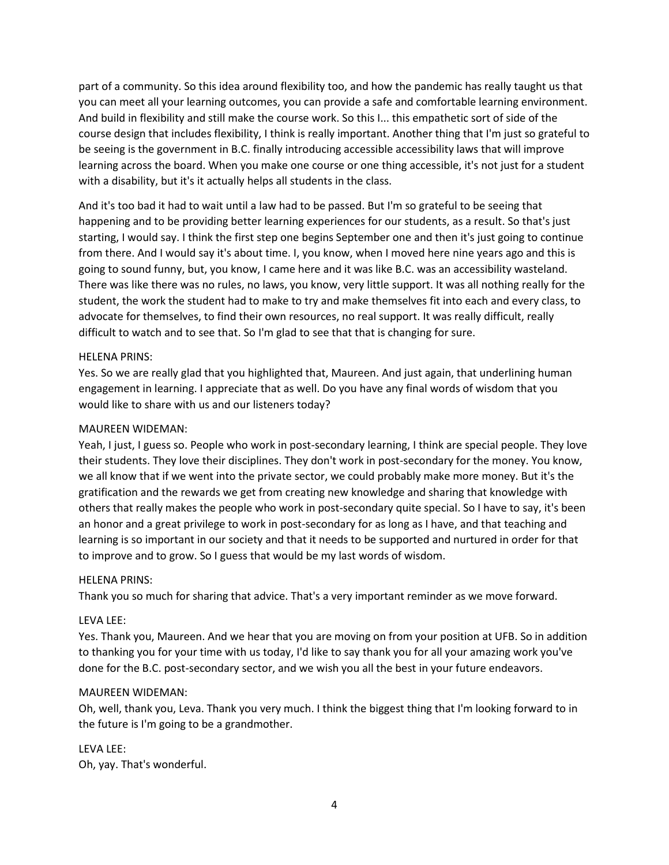part of a community. So this idea around flexibility too, and how the pandemic has really taught us that you can meet all your learning outcomes, you can provide a safe and comfortable learning environment. And build in flexibility and still make the course work. So this I... this empathetic sort of side of the course design that includes flexibility, I think is really important. Another thing that I'm just so grateful to be seeing is the government in B.C. finally introducing accessible accessibility laws that will improve learning across the board. When you make one course or one thing accessible, it's not just for a student with a disability, but it's it actually helps all students in the class.

And it's too bad it had to wait until a law had to be passed. But I'm so grateful to be seeing that happening and to be providing better learning experiences for our students, as a result. So that's just starting, I would say. I think the first step one begins September one and then it's just going to continue from there. And I would say it's about time. I, you know, when I moved here nine years ago and this is going to sound funny, but, you know, I came here and it was like B.C. was an accessibility wasteland. There was like there was no rules, no laws, you know, very little support. It was all nothing really for the student, the work the student had to make to try and make themselves fit into each and every class, to advocate for themselves, to find their own resources, no real support. It was really difficult, really difficult to watch and to see that. So I'm glad to see that that is changing for sure.

#### HELENA PRINS:

Yes. So we are really glad that you highlighted that, Maureen. And just again, that underlining human engagement in learning. I appreciate that as well. Do you have any final words of wisdom that you would like to share with us and our listeners today?

## MAUREEN WIDEMAN:

Yeah, I just, I guess so. People who work in post-secondary learning, I think are special people. They love their students. They love their disciplines. They don't work in post-secondary for the money. You know, we all know that if we went into the private sector, we could probably make more money. But it's the gratification and the rewards we get from creating new knowledge and sharing that knowledge with others that really makes the people who work in post-secondary quite special. So I have to say, it's been an honor and a great privilege to work in post-secondary for as long as I have, and that teaching and learning is so important in our society and that it needs to be supported and nurtured in order for that to improve and to grow. So I guess that would be my last words of wisdom.

#### HELENA PRINS:

Thank you so much for sharing that advice. That's a very important reminder as we move forward.

#### LEVA LEE:

Yes. Thank you, Maureen. And we hear that you are moving on from your position at UFB. So in addition to thanking you for your time with us today, I'd like to say thank you for all your amazing work you've done for the B.C. post-secondary sector, and we wish you all the best in your future endeavors.

#### MAUREEN WIDEMAN:

Oh, well, thank you, Leva. Thank you very much. I think the biggest thing that I'm looking forward to in the future is I'm going to be a grandmother.

LEVA LEE: Oh, yay. That's wonderful.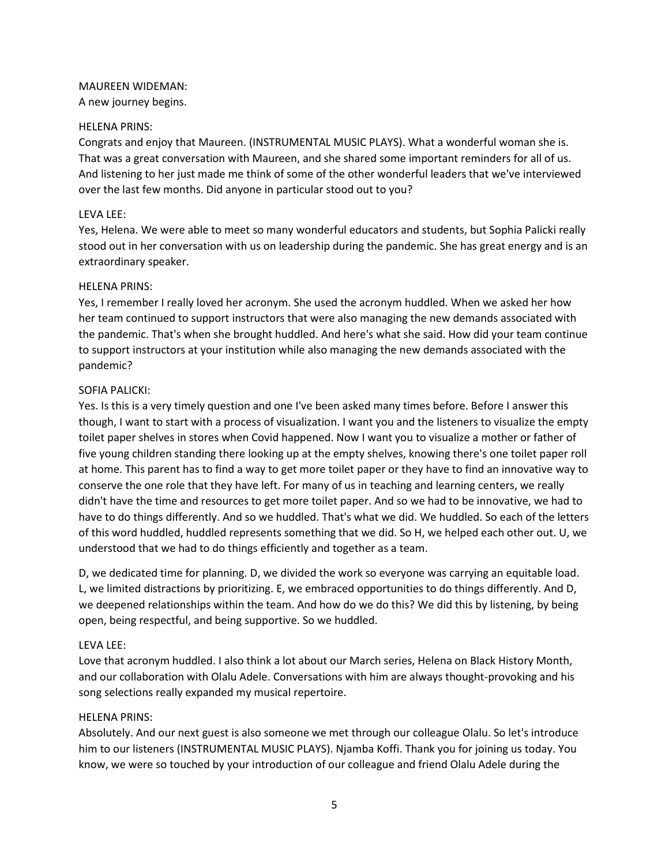# MAUREEN WIDEMAN:

A new journey begins.

# HELENA PRINS:

Congrats and enjoy that Maureen. (INSTRUMENTAL MUSIC PLAYS). What a wonderful woman she is. That was a great conversation with Maureen, and she shared some important reminders for all of us. And listening to her just made me think of some of the other wonderful leaders that we've interviewed over the last few months. Did anyone in particular stood out to you?

## LEVA LEE:

Yes, Helena. We were able to meet so many wonderful educators and students, but Sophia Palicki really stood out in her conversation with us on leadership during the pandemic. She has great energy and is an extraordinary speaker.

#### HELENA PRINS:

Yes, I remember I really loved her acronym. She used the acronym huddled. When we asked her how her team continued to support instructors that were also managing the new demands associated with the pandemic. That's when she brought huddled. And here's what she said. How did your team continue to support instructors at your institution while also managing the new demands associated with the pandemic?

## SOFIA PALICKI:

Yes. Is this is a very timely question and one I've been asked many times before. Before I answer this though, I want to start with a process of visualization. I want you and the listeners to visualize the empty toilet paper shelves in stores when Covid happened. Now I want you to visualize a mother or father of five young children standing there looking up at the empty shelves, knowing there's one toilet paper roll at home. This parent has to find a way to get more toilet paper or they have to find an innovative way to conserve the one role that they have left. For many of us in teaching and learning centers, we really didn't have the time and resources to get more toilet paper. And so we had to be innovative, we had to have to do things differently. And so we huddled. That's what we did. We huddled. So each of the letters of this word huddled, huddled represents something that we did. So H, we helped each other out. U, we understood that we had to do things efficiently and together as a team.

D, we dedicated time for planning. D, we divided the work so everyone was carrying an equitable load. L, we limited distractions by prioritizing. E, we embraced opportunities to do things differently. And D, we deepened relationships within the team. And how do we do this? We did this by listening, by being open, being respectful, and being supportive. So we huddled.

# LEVA LEE:

Love that acronym huddled. I also think a lot about our March series, Helena on Black History Month, and our collaboration with Olalu Adele. Conversations with him are always thought-provoking and his song selections really expanded my musical repertoire.

#### HELENA PRINS:

Absolutely. And our next guest is also someone we met through our colleague Olalu. So let's introduce him to our listeners (INSTRUMENTAL MUSIC PLAYS). Njamba Koffi. Thank you for joining us today. You know, we were so touched by your introduction of our colleague and friend Olalu Adele during the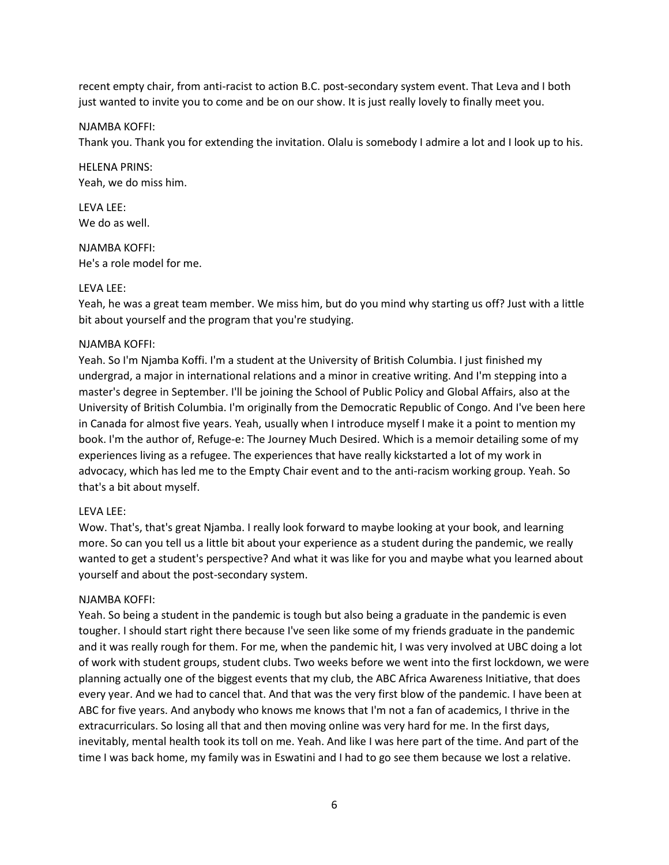recent empty chair, from anti-racist to action B.C. post-secondary system event. That Leva and I both just wanted to invite you to come and be on our show. It is just really lovely to finally meet you.

#### NJAMBA KOFFI:

Thank you. Thank you for extending the invitation. Olalu is somebody I admire a lot and I look up to his.

HELENA PRINS: Yeah, we do miss him.

LEVA LEE: We do as well.

NJAMBA KOFFI: He's a role model for me.

#### LEVA LEE:

Yeah, he was a great team member. We miss him, but do you mind why starting us off? Just with a little bit about yourself and the program that you're studying.

#### NJAMBA KOFFI:

Yeah. So I'm Njamba Koffi. I'm a student at the University of British Columbia. I just finished my undergrad, a major in international relations and a minor in creative writing. And I'm stepping into a master's degree in September. I'll be joining the School of Public Policy and Global Affairs, also at the University of British Columbia. I'm originally from the Democratic Republic of Congo. And I've been here in Canada for almost five years. Yeah, usually when I introduce myself I make it a point to mention my book. I'm the author of, Refuge-e: The Journey Much Desired. Which is a memoir detailing some of my experiences living as a refugee. The experiences that have really kickstarted a lot of my work in advocacy, which has led me to the Empty Chair event and to the anti-racism working group. Yeah. So that's a bit about myself.

#### LEVA LEE:

Wow. That's, that's great Njamba. I really look forward to maybe looking at your book, and learning more. So can you tell us a little bit about your experience as a student during the pandemic, we really wanted to get a student's perspective? And what it was like for you and maybe what you learned about yourself and about the post-secondary system.

#### NJAMBA KOFFI:

Yeah. So being a student in the pandemic is tough but also being a graduate in the pandemic is even tougher. I should start right there because I've seen like some of my friends graduate in the pandemic and it was really rough for them. For me, when the pandemic hit, I was very involved at UBC doing a lot of work with student groups, student clubs. Two weeks before we went into the first lockdown, we were planning actually one of the biggest events that my club, the ABC Africa Awareness Initiative, that does every year. And we had to cancel that. And that was the very first blow of the pandemic. I have been at ABC for five years. And anybody who knows me knows that I'm not a fan of academics, I thrive in the extracurriculars. So losing all that and then moving online was very hard for me. In the first days, inevitably, mental health took its toll on me. Yeah. And like I was here part of the time. And part of the time I was back home, my family was in Eswatini and I had to go see them because we lost a relative.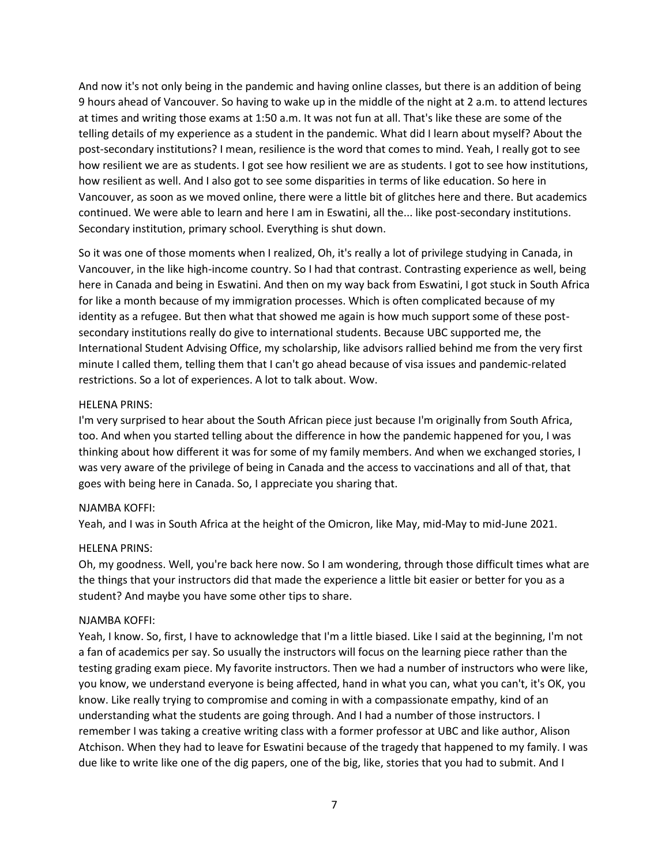And now it's not only being in the pandemic and having online classes, but there is an addition of being 9 hours ahead of Vancouver. So having to wake up in the middle of the night at 2 a.m. to attend lectures at times and writing those exams at 1:50 a.m. It was not fun at all. That's like these are some of the telling details of my experience as a student in the pandemic. What did I learn about myself? About the post-secondary institutions? I mean, resilience is the word that comes to mind. Yeah, I really got to see how resilient we are as students. I got see how resilient we are as students. I got to see how institutions, how resilient as well. And I also got to see some disparities in terms of like education. So here in Vancouver, as soon as we moved online, there were a little bit of glitches here and there. But academics continued. We were able to learn and here I am in Eswatini, all the... like post-secondary institutions. Secondary institution, primary school. Everything is shut down.

So it was one of those moments when I realized, Oh, it's really a lot of privilege studying in Canada, in Vancouver, in the like high-income country. So I had that contrast. Contrasting experience as well, being here in Canada and being in Eswatini. And then on my way back from Eswatini, I got stuck in South Africa for like a month because of my immigration processes. Which is often complicated because of my identity as a refugee. But then what that showed me again is how much support some of these postsecondary institutions really do give to international students. Because UBC supported me, the International Student Advising Office, my scholarship, like advisors rallied behind me from the very first minute I called them, telling them that I can't go ahead because of visa issues and pandemic-related restrictions. So a lot of experiences. A lot to talk about. Wow.

#### HELENA PRINS:

I'm very surprised to hear about the South African piece just because I'm originally from South Africa, too. And when you started telling about the difference in how the pandemic happened for you, I was thinking about how different it was for some of my family members. And when we exchanged stories, I was very aware of the privilege of being in Canada and the access to vaccinations and all of that, that goes with being here in Canada. So, I appreciate you sharing that.

#### NJAMBA KOFFI:

Yeah, and I was in South Africa at the height of the Omicron, like May, mid-May to mid-June 2021.

#### HELENA PRINS:

Oh, my goodness. Well, you're back here now. So I am wondering, through those difficult times what are the things that your instructors did that made the experience a little bit easier or better for you as a student? And maybe you have some other tips to share.

#### NJAMBA KOFFI:

Yeah, I know. So, first, I have to acknowledge that I'm a little biased. Like I said at the beginning, I'm not a fan of academics per say. So usually the instructors will focus on the learning piece rather than the testing grading exam piece. My favorite instructors. Then we had a number of instructors who were like, you know, we understand everyone is being affected, hand in what you can, what you can't, it's OK, you know. Like really trying to compromise and coming in with a compassionate empathy, kind of an understanding what the students are going through. And I had a number of those instructors. I remember I was taking a creative writing class with a former professor at UBC and like author, Alison Atchison. When they had to leave for Eswatini because of the tragedy that happened to my family. I was due like to write like one of the dig papers, one of the big, like, stories that you had to submit. And I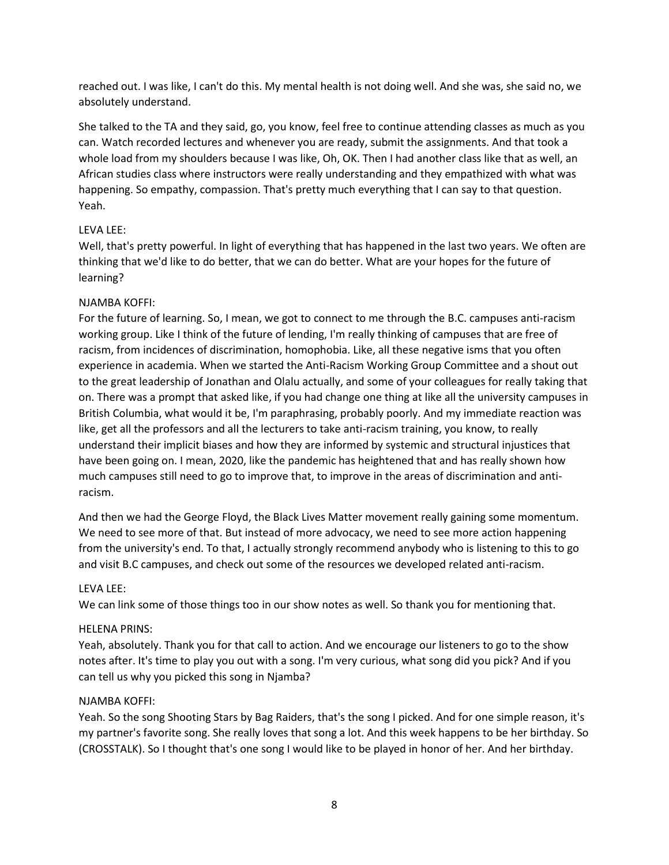reached out. I was like, I can't do this. My mental health is not doing well. And she was, she said no, we absolutely understand.

She talked to the TA and they said, go, you know, feel free to continue attending classes as much as you can. Watch recorded lectures and whenever you are ready, submit the assignments. And that took a whole load from my shoulders because I was like, Oh, OK. Then I had another class like that as well, an African studies class where instructors were really understanding and they empathized with what was happening. So empathy, compassion. That's pretty much everything that I can say to that question. Yeah.

## LEVA LEE:

Well, that's pretty powerful. In light of everything that has happened in the last two years. We often are thinking that we'd like to do better, that we can do better. What are your hopes for the future of learning?

## NJAMBA KOFFI:

For the future of learning. So, I mean, we got to connect to me through the B.C. campuses anti-racism working group. Like I think of the future of lending, I'm really thinking of campuses that are free of racism, from incidences of discrimination, homophobia. Like, all these negative isms that you often experience in academia. When we started the Anti-Racism Working Group Committee and a shout out to the great leadership of Jonathan and Olalu actually, and some of your colleagues for really taking that on. There was a prompt that asked like, if you had change one thing at like all the university campuses in British Columbia, what would it be, I'm paraphrasing, probably poorly. And my immediate reaction was like, get all the professors and all the lecturers to take anti-racism training, you know, to really understand their implicit biases and how they are informed by systemic and structural injustices that have been going on. I mean, 2020, like the pandemic has heightened that and has really shown how much campuses still need to go to improve that, to improve in the areas of discrimination and antiracism.

And then we had the George Floyd, the Black Lives Matter movement really gaining some momentum. We need to see more of that. But instead of more advocacy, we need to see more action happening from the university's end. To that, I actually strongly recommend anybody who is listening to this to go and visit B.C campuses, and check out some of the resources we developed related anti-racism.

#### LEVA LEE:

We can link some of those things too in our show notes as well. So thank you for mentioning that.

# HELENA PRINS:

Yeah, absolutely. Thank you for that call to action. And we encourage our listeners to go to the show notes after. It's time to play you out with a song. I'm very curious, what song did you pick? And if you can tell us why you picked this song in Njamba?

#### NJAMBA KOFFI:

Yeah. So the song Shooting Stars by Bag Raiders, that's the song I picked. And for one simple reason, it's my partner's favorite song. She really loves that song a lot. And this week happens to be her birthday. So (CROSSTALK). So I thought that's one song I would like to be played in honor of her. And her birthday.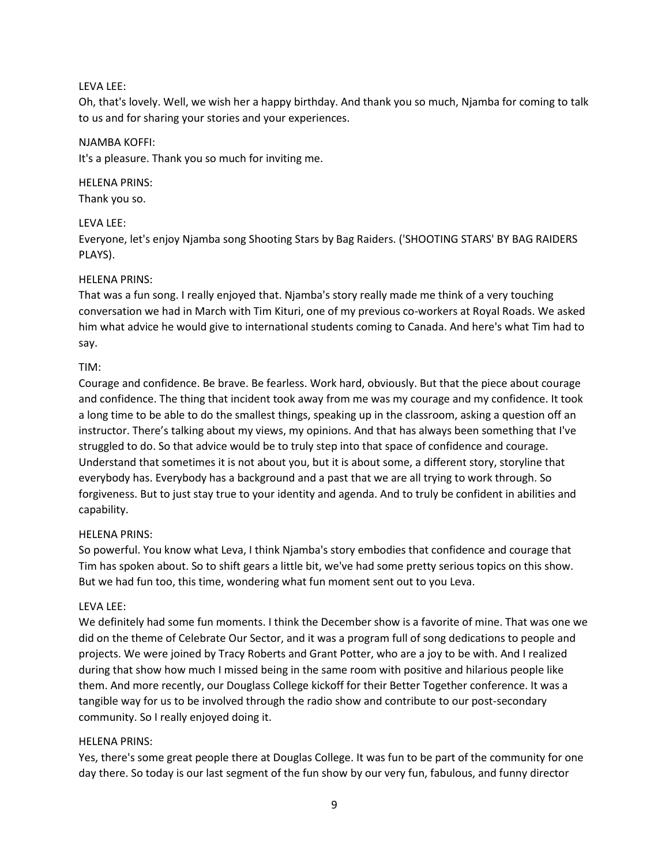#### LEVA LEE:

Oh, that's lovely. Well, we wish her a happy birthday. And thank you so much, Njamba for coming to talk to us and for sharing your stories and your experiences.

#### NJAMBA KOFFI:

It's a pleasure. Thank you so much for inviting me.

#### HELENA PRINS:

Thank you so.

#### LEVA LEE:

Everyone, let's enjoy Njamba song Shooting Stars by Bag Raiders. ('SHOOTING STARS' BY BAG RAIDERS PLAYS).

#### HELENA PRINS:

That was a fun song. I really enjoyed that. Njamba's story really made me think of a very touching conversation we had in March with Tim Kituri, one of my previous co-workers at Royal Roads. We asked him what advice he would give to international students coming to Canada. And here's what Tim had to say.

#### TIM:

Courage and confidence. Be brave. Be fearless. Work hard, obviously. But that the piece about courage and confidence. The thing that incident took away from me was my courage and my confidence. It took a long time to be able to do the smallest things, speaking up in the classroom, asking a question off an instructor. There's talking about my views, my opinions. And that has always been something that I've struggled to do. So that advice would be to truly step into that space of confidence and courage. Understand that sometimes it is not about you, but it is about some, a different story, storyline that everybody has. Everybody has a background and a past that we are all trying to work through. So forgiveness. But to just stay true to your identity and agenda. And to truly be confident in abilities and capability.

#### HELENA PRINS:

So powerful. You know what Leva, I think Njamba's story embodies that confidence and courage that Tim has spoken about. So to shift gears a little bit, we've had some pretty serious topics on this show. But we had fun too, this time, wondering what fun moment sent out to you Leva.

#### LEVA LEE:

We definitely had some fun moments. I think the December show is a favorite of mine. That was one we did on the theme of Celebrate Our Sector, and it was a program full of song dedications to people and projects. We were joined by Tracy Roberts and Grant Potter, who are a joy to be with. And I realized during that show how much I missed being in the same room with positive and hilarious people like them. And more recently, our Douglass College kickoff for their Better Together conference. It was a tangible way for us to be involved through the radio show and contribute to our post-secondary community. So I really enjoyed doing it.

#### HELENA PRINS:

Yes, there's some great people there at Douglas College. It was fun to be part of the community for one day there. So today is our last segment of the fun show by our very fun, fabulous, and funny director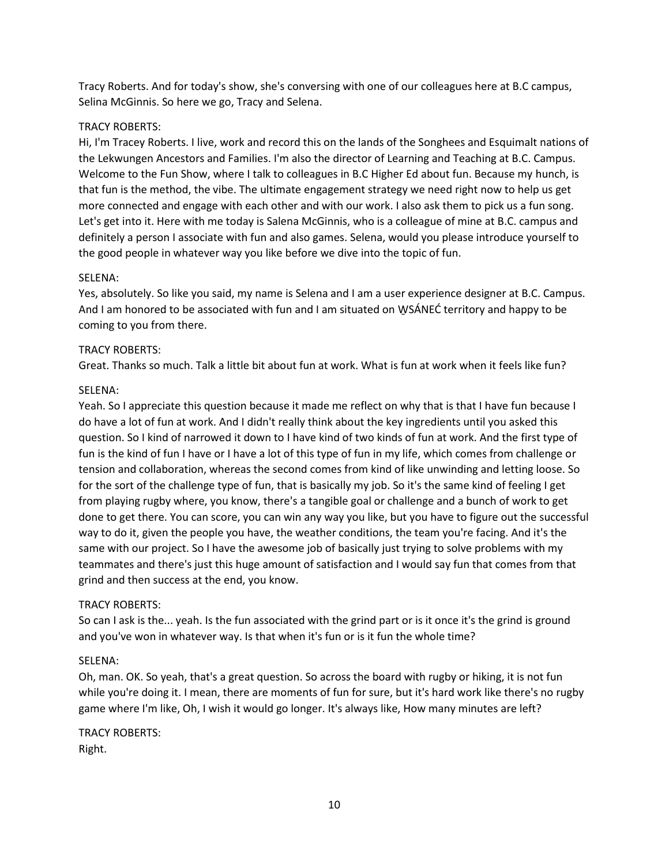Tracy Roberts. And for today's show, she's conversing with one of our colleagues here at B.C campus, Selina McGinnis. So here we go, Tracy and Selena.

## TRACY ROBERTS:

Hi, I'm Tracey Roberts. I live, work and record this on the lands of the Songhees and Esquimalt nations of the Lekwungen Ancestors and Families. I'm also the director of Learning and Teaching at B.C. Campus. Welcome to the Fun Show, where I talk to colleagues in B.C Higher Ed about fun. Because my hunch, is that fun is the method, the vibe. The ultimate engagement strategy we need right now to help us get more connected and engage with each other and with our work. I also ask them to pick us a fun song. Let's get into it. Here with me today is Salena McGinnis, who is a colleague of mine at B.C. campus and definitely a person I associate with fun and also games. Selena, would you please introduce yourself to the good people in whatever way you like before we dive into the topic of fun.

#### SELENA:

Yes, absolutely. So like you said, my name is Selena and I am a user experience designer at B.C. Campus. And I am honored to be associated with fun and I am situated on WSÁNEC territory and happy to be coming to you from there.

## TRACY ROBERTS:

Great. Thanks so much. Talk a little bit about fun at work. What is fun at work when it feels like fun?

## SELENA:

Yeah. So I appreciate this question because it made me reflect on why that is that I have fun because I do have a lot of fun at work. And I didn't really think about the key ingredients until you asked this question. So I kind of narrowed it down to I have kind of two kinds of fun at work. And the first type of fun is the kind of fun I have or I have a lot of this type of fun in my life, which comes from challenge or tension and collaboration, whereas the second comes from kind of like unwinding and letting loose. So for the sort of the challenge type of fun, that is basically my job. So it's the same kind of feeling I get from playing rugby where, you know, there's a tangible goal or challenge and a bunch of work to get done to get there. You can score, you can win any way you like, but you have to figure out the successful way to do it, given the people you have, the weather conditions, the team you're facing. And it's the same with our project. So I have the awesome job of basically just trying to solve problems with my teammates and there's just this huge amount of satisfaction and I would say fun that comes from that grind and then success at the end, you know.

# TRACY ROBERTS:

So can I ask is the... yeah. Is the fun associated with the grind part or is it once it's the grind is ground and you've won in whatever way. Is that when it's fun or is it fun the whole time?

# SELENA:

Oh, man. OK. So yeah, that's a great question. So across the board with rugby or hiking, it is not fun while you're doing it. I mean, there are moments of fun for sure, but it's hard work like there's no rugby game where I'm like, Oh, I wish it would go longer. It's always like, How many minutes are left?

TRACY ROBERTS: Right.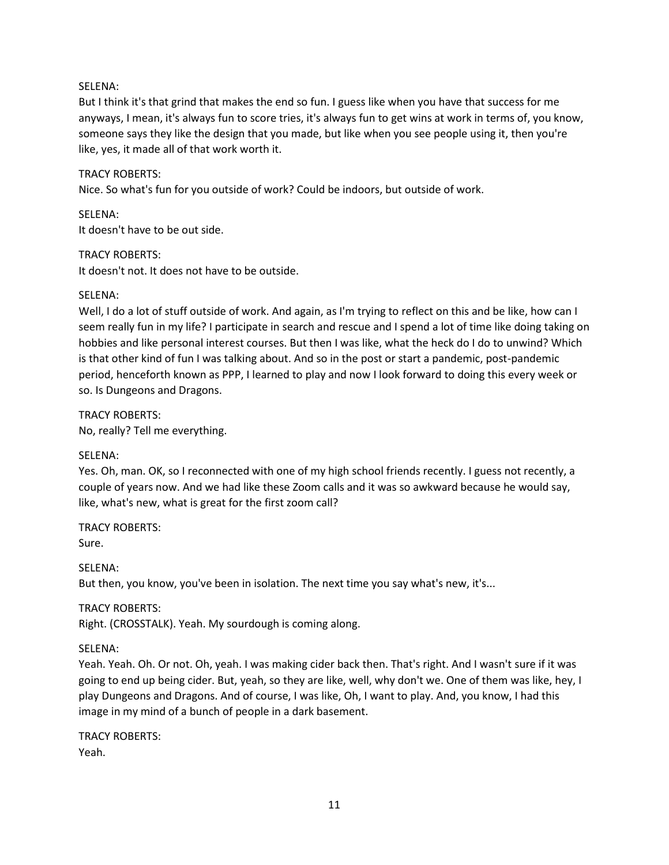## SELENA:

But I think it's that grind that makes the end so fun. I guess like when you have that success for me anyways, I mean, it's always fun to score tries, it's always fun to get wins at work in terms of, you know, someone says they like the design that you made, but like when you see people using it, then you're like, yes, it made all of that work worth it.

## TRACY ROBERTS:

Nice. So what's fun for you outside of work? Could be indoors, but outside of work.

SELENA:

It doesn't have to be out side.

#### TRACY ROBERTS:

It doesn't not. It does not have to be outside.

#### SELENA:

Well, I do a lot of stuff outside of work. And again, as I'm trying to reflect on this and be like, how can I seem really fun in my life? I participate in search and rescue and I spend a lot of time like doing taking on hobbies and like personal interest courses. But then I was like, what the heck do I do to unwind? Which is that other kind of fun I was talking about. And so in the post or start a pandemic, post-pandemic period, henceforth known as PPP, I learned to play and now I look forward to doing this every week or so. Is Dungeons and Dragons.

TRACY ROBERTS: No, really? Tell me everything.

#### SELENA:

Yes. Oh, man. OK, so I reconnected with one of my high school friends recently. I guess not recently, a couple of years now. And we had like these Zoom calls and it was so awkward because he would say, like, what's new, what is great for the first zoom call?

TRACY ROBERTS:

Sure.

SELENA: But then, you know, you've been in isolation. The next time you say what's new, it's...

#### TRACY ROBERTS:

Right. (CROSSTALK). Yeah. My sourdough is coming along.

#### SELENA:

Yeah. Yeah. Oh. Or not. Oh, yeah. I was making cider back then. That's right. And I wasn't sure if it was going to end up being cider. But, yeah, so they are like, well, why don't we. One of them was like, hey, I play Dungeons and Dragons. And of course, I was like, Oh, I want to play. And, you know, I had this image in my mind of a bunch of people in a dark basement.

TRACY ROBERTS: Yeah.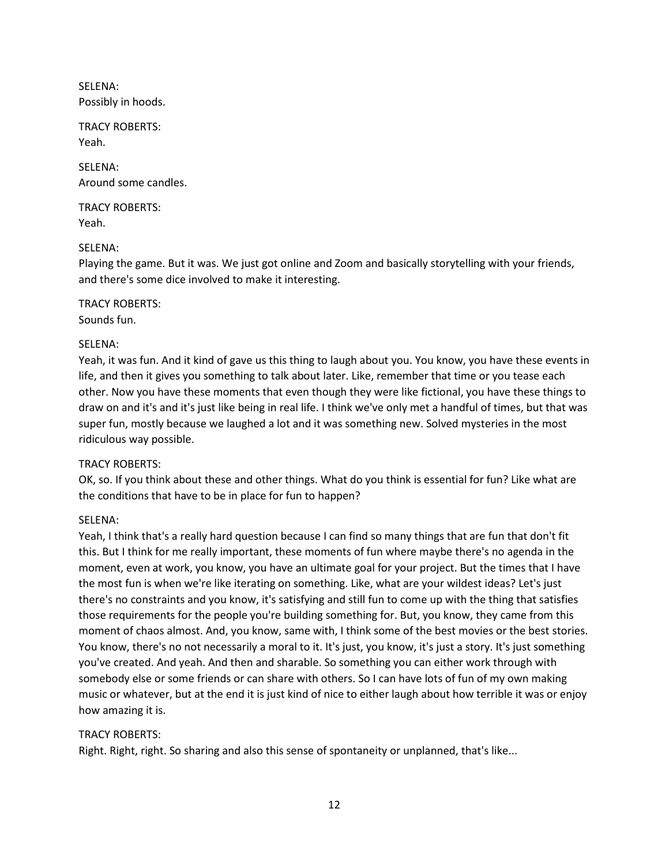SELENA: Possibly in hoods.

TRACY ROBERTS: Yeah.

SELENA: Around some candles.

TRACY ROBERTS: Yeah.

## SELENA:

Playing the game. But it was. We just got online and Zoom and basically storytelling with your friends, and there's some dice involved to make it interesting.

TRACY ROBERTS: Sounds fun.

## SELENA:

Yeah, it was fun. And it kind of gave us this thing to laugh about you. You know, you have these events in life, and then it gives you something to talk about later. Like, remember that time or you tease each other. Now you have these moments that even though they were like fictional, you have these things to draw on and it's and it's just like being in real life. I think we've only met a handful of times, but that was super fun, mostly because we laughed a lot and it was something new. Solved mysteries in the most ridiculous way possible.

#### TRACY ROBERTS:

OK, so. If you think about these and other things. What do you think is essential for fun? Like what are the conditions that have to be in place for fun to happen?

# SELENA:

Yeah, I think that's a really hard question because I can find so many things that are fun that don't fit this. But I think for me really important, these moments of fun where maybe there's no agenda in the moment, even at work, you know, you have an ultimate goal for your project. But the times that I have the most fun is when we're like iterating on something. Like, what are your wildest ideas? Let's just there's no constraints and you know, it's satisfying and still fun to come up with the thing that satisfies those requirements for the people you're building something for. But, you know, they came from this moment of chaos almost. And, you know, same with, I think some of the best movies or the best stories. You know, there's no not necessarily a moral to it. It's just, you know, it's just a story. It's just something you've created. And yeah. And then and sharable. So something you can either work through with somebody else or some friends or can share with others. So I can have lots of fun of my own making music or whatever, but at the end it is just kind of nice to either laugh about how terrible it was or enjoy how amazing it is.

#### TRACY ROBERTS:

Right. Right, right. So sharing and also this sense of spontaneity or unplanned, that's like...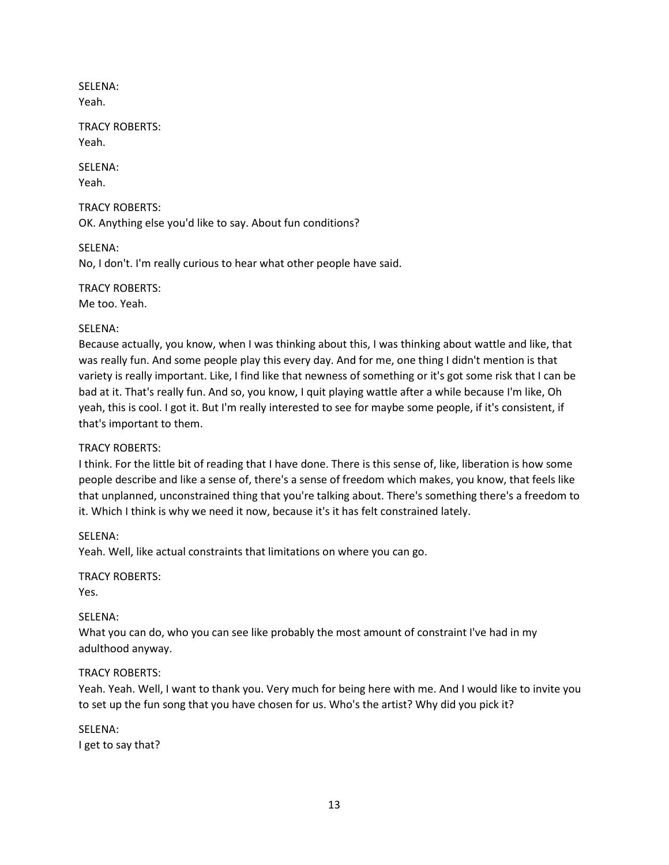SELENA: Yeah.

TRACY ROBERTS: Yeah.

SELENA: Yeah.

TRACY ROBERTS: OK. Anything else you'd like to say. About fun conditions?

SELENA: No, I don't. I'm really curious to hear what other people have said.

TRACY ROBERTS: Me too. Yeah.

#### SELENA:

Because actually, you know, when I was thinking about this, I was thinking about wattle and like, that was really fun. And some people play this every day. And for me, one thing I didn't mention is that variety is really important. Like, I find like that newness of something or it's got some risk that I can be bad at it. That's really fun. And so, you know, I quit playing wattle after a while because I'm like, Oh yeah, this is cool. I got it. But I'm really interested to see for maybe some people, if it's consistent, if that's important to them.

#### TRACY ROBERTS:

I think. For the little bit of reading that I have done. There is this sense of, like, liberation is how some people describe and like a sense of, there's a sense of freedom which makes, you know, that feels like that unplanned, unconstrained thing that you're talking about. There's something there's a freedom to it. Which I think is why we need it now, because it's it has felt constrained lately.

#### SELENA:

Yeah. Well, like actual constraints that limitations on where you can go.

TRACY ROBERTS:

Yes.

#### SELENA:

What you can do, who you can see like probably the most amount of constraint I've had in my adulthood anyway.

#### TRACY ROBERTS:

Yeah. Yeah. Well, I want to thank you. Very much for being here with me. And I would like to invite you to set up the fun song that you have chosen for us. Who's the artist? Why did you pick it?

SELENA: I get to say that?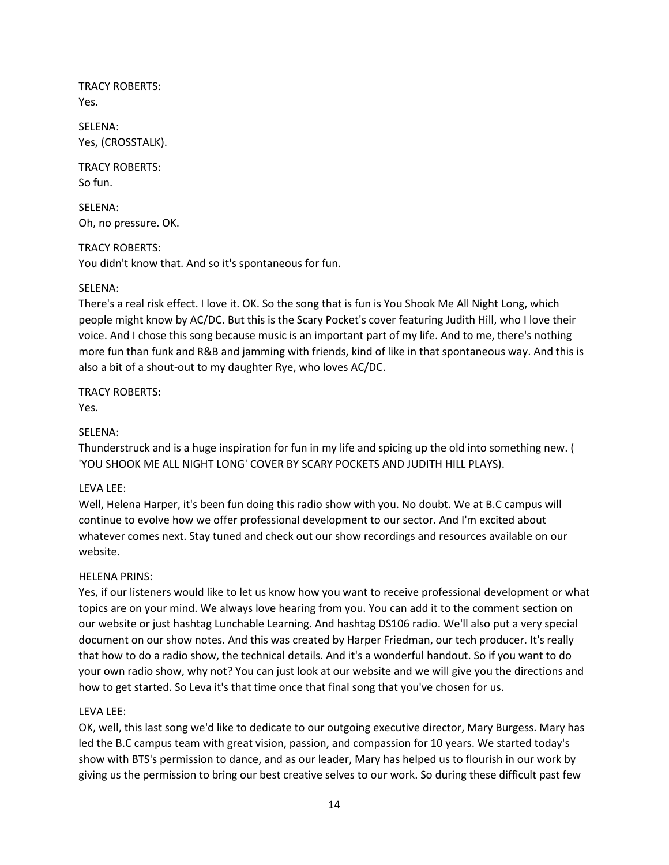TRACY ROBERTS: Yes.

SELENA: Yes, (CROSSTALK).

TRACY ROBERTS: So fun.

SELENA: Oh, no pressure. OK.

TRACY ROBERTS: You didn't know that. And so it's spontaneous for fun.

# SELENA:

There's a real risk effect. I love it. OK. So the song that is fun is You Shook Me All Night Long, which people might know by AC/DC. But this is the Scary Pocket's cover featuring Judith Hill, who I love their voice. And I chose this song because music is an important part of my life. And to me, there's nothing more fun than funk and R&B and jamming with friends, kind of like in that spontaneous way. And this is also a bit of a shout-out to my daughter Rye, who loves AC/DC.

TRACY ROBERTS: Yes.

# SELENA:

Thunderstruck and is a huge inspiration for fun in my life and spicing up the old into something new. ( 'YOU SHOOK ME ALL NIGHT LONG' COVER BY SCARY POCKETS AND JUDITH HILL PLAYS).

# LEVA LEE:

Well, Helena Harper, it's been fun doing this radio show with you. No doubt. We at B.C campus will continue to evolve how we offer professional development to our sector. And I'm excited about whatever comes next. Stay tuned and check out our show recordings and resources available on our website.

# HELENA PRINS:

Yes, if our listeners would like to let us know how you want to receive professional development or what topics are on your mind. We always love hearing from you. You can add it to the comment section on our website or just hashtag Lunchable Learning. And hashtag DS106 radio. We'll also put a very special document on our show notes. And this was created by Harper Friedman, our tech producer. It's really that how to do a radio show, the technical details. And it's a wonderful handout. So if you want to do your own radio show, why not? You can just look at our website and we will give you the directions and how to get started. So Leva it's that time once that final song that you've chosen for us.

# LEVA LEE:

OK, well, this last song we'd like to dedicate to our outgoing executive director, Mary Burgess. Mary has led the B.C campus team with great vision, passion, and compassion for 10 years. We started today's show with BTS's permission to dance, and as our leader, Mary has helped us to flourish in our work by giving us the permission to bring our best creative selves to our work. So during these difficult past few